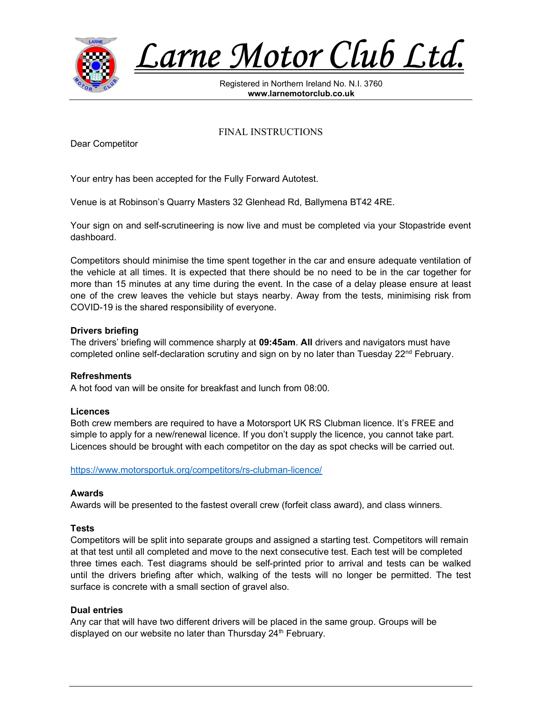

Larne Motor Club Ltd.

Registered in Northern Ireland No. N.I. 3760 www.larnemotorclub.co.uk

FINAL INSTRUCTIONS

Dear Competitor

Your entry has been accepted for the Fully Forward Autotest.

Venue is at Robinson's Quarry Masters 32 Glenhead Rd, Ballymena BT42 4RE.

Your sign on and self-scrutineering is now live and must be completed via your Stopastride event dashboard.

Competitors should minimise the time spent together in the car and ensure adequate ventilation of the vehicle at all times. It is expected that there should be no need to be in the car together for more than 15 minutes at any time during the event. In the case of a delay please ensure at least one of the crew leaves the vehicle but stays nearby. Away from the tests, minimising risk from COVID-19 is the shared responsibility of everyone.

### Drivers briefing

The drivers' briefing will commence sharply at 09:45am. All drivers and navigators must have completed online self-declaration scrutiny and sign on by no later than Tuesday  $22^{nd}$  February.

#### Refreshments

A hot food van will be onsite for breakfast and lunch from 08:00.

#### Licences

Both crew members are required to have a Motorsport UK RS Clubman licence. It's FREE and simple to apply for a new/renewal licence. If you don't supply the licence, you cannot take part. Licences should be brought with each competitor on the day as spot checks will be carried out.

https://www.motorsportuk.org/competitors/rs-clubman-licence/

#### Awards

Awards will be presented to the fastest overall crew (forfeit class award), and class winners.

### **Tests**

Competitors will be split into separate groups and assigned a starting test. Competitors will remain at that test until all completed and move to the next consecutive test. Each test will be completed three times each. Test diagrams should be self-printed prior to arrival and tests can be walked until the drivers briefing after which, walking of the tests will no longer be permitted. The test surface is concrete with a small section of gravel also.

#### Dual entries

Any car that will have two different drivers will be placed in the same group. Groups will be displayed on our website no later than Thursday 24<sup>th</sup> February.